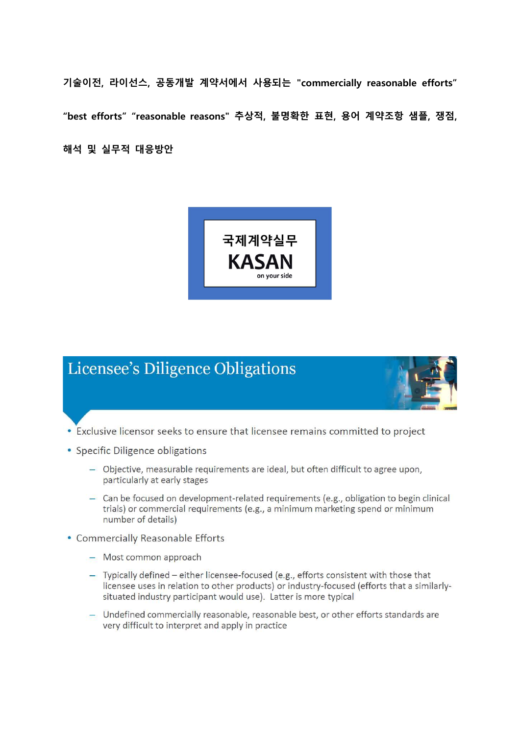기술이전, 라이선스, 공동개발 계약서에서 사용되는 "commercially reasonable efforts" "best efforts" "reasonable reasons" 추상적, 불명확한 표현, 용어 계약조항 샘플, 쟁점, 해석 및 실무적 대응방안



# Licensee's Diligence Obligations



- Exclusive licensor seeks to ensure that licensee remains committed to project
- Specific Diligence obligations
	- Objective, measurable requirements are ideal, but often difficult to agree upon, particularly at early stages
	- Can be focused on development-related requirements (e.g., obligation to begin clinical trials) or commercial requirements (e.g., a minimum marketing spend or minimum number of details)
- Commercially Reasonable Efforts
	- Most common approach
	- Typically defined either licensee-focused (e.g., efforts consistent with those that licensee uses in relation to other products) or industry-focused (efforts that a similarlysituated industry participant would use). Latter is more typical
	- Undefined commercially reasonable, reasonable best, or other efforts standards are very difficult to interpret and apply in practice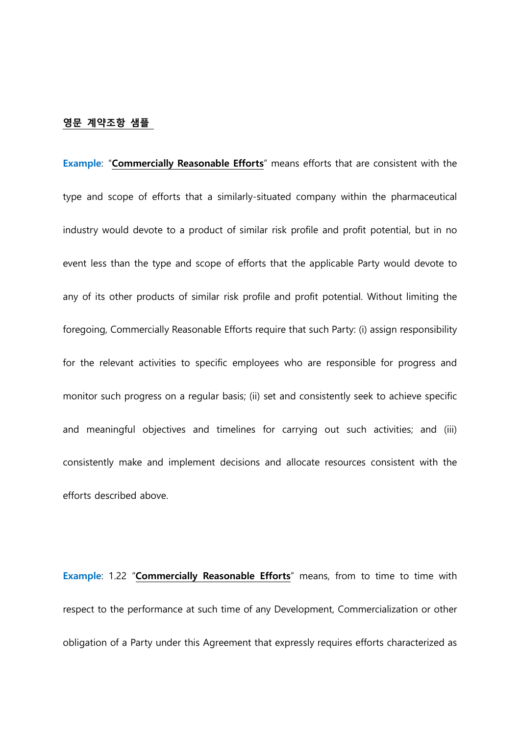## 영문 계약조항 샘플

Example: "Commercially Reasonable Efforts" means efforts that are consistent with the type and scope of efforts that a similarly-situated company within the pharmaceutical industry would devote to a product of similar risk profile and profit potential, but in no event less than the type and scope of efforts that the applicable Party would devote to any of its other products of similar risk profile and profit potential. Without limiting the foregoing, Commercially Reasonable Efforts require that such Party: (i) assign responsibility for the relevant activities to specific employees who are responsible for progress and monitor such progress on a regular basis; (ii) set and consistently seek to achieve specific and meaningful objectives and timelines for carrying out such activities; and (iii) consistently make and implement decisions and allocate resources consistent with the efforts described above.

Example: 1.22 "Commercially Reasonable Efforts" means, from to time to time with respect to the performance at such time of any Development, Commercialization or other obligation of a Party under this Agreement that expressly requires efforts characterized as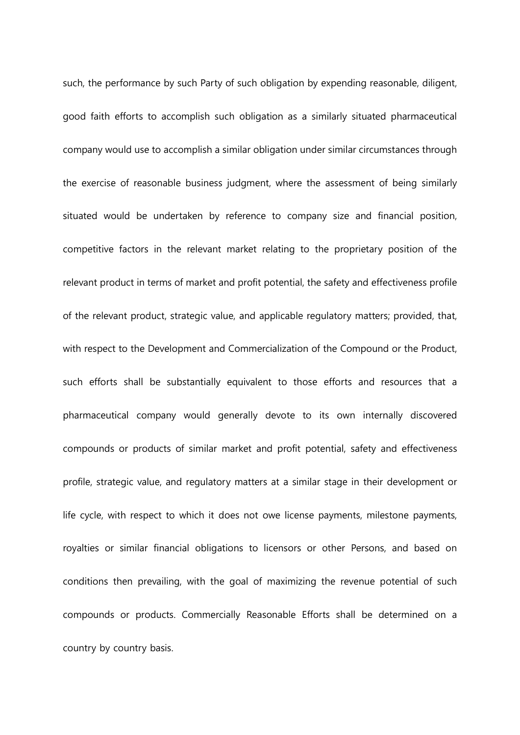such, the performance by such Party of such obligation by expending reasonable, diligent, good faith efforts to accomplish such obligation as a similarly situated pharmaceutical company would use to accomplish a similar obligation under similar circumstances through the exercise of reasonable business judgment, where the assessment of being similarly situated would be undertaken by reference to company size and financial position, competitive factors in the relevant market relating to the proprietary position of the relevant product in terms of market and profit potential, the safety and effectiveness profile of the relevant product, strategic value, and applicable regulatory matters; provided, that, with respect to the Development and Commercialization of the Compound or the Product, such efforts shall be substantially equivalent to those efforts and resources that a pharmaceutical company would generally devote to its own internally discovered compounds or products of similar market and profit potential, safety and effectiveness profile, strategic value, and regulatory matters at a similar stage in their development or life cycle, with respect to which it does not owe license payments, milestone payments, royalties or similar financial obligations to licensors or other Persons, and based on conditions then prevailing, with the goal of maximizing the revenue potential of such compounds or products. Commercially Reasonable Efforts shall be determined on a country by country basis.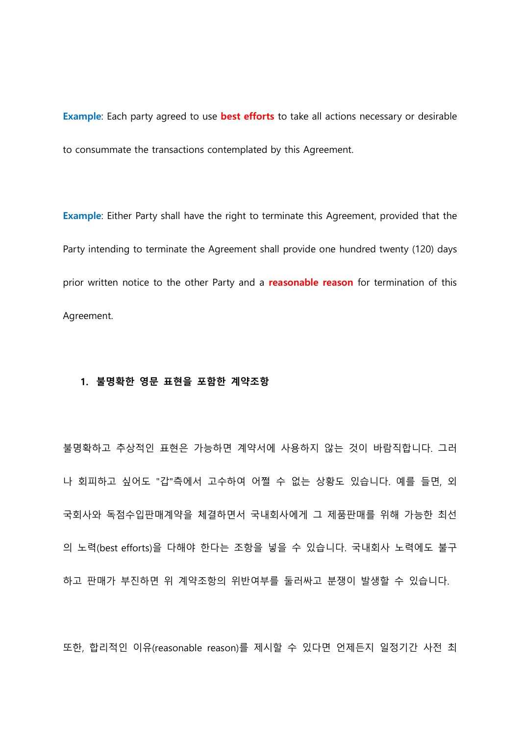Example: Each party agreed to use best efforts to take all actions necessary or desirable to consummate the transactions contemplated by this Agreement.

Example: Either Party shall have the right to terminate this Agreement, provided that the Party intending to terminate the Agreement shall provide one hundred twenty (120) days prior written notice to the other Party and a **reasonable reason** for termination of this Agreement.

### 1. 불명확한 영문 표현을 포함한 계약조항

불명확하고 추상적인 표현은 가능하면 계약서에 사용하지 않는 것이 바람직합니다. 그러 나 회피하고 싶어도 "갑"측에서 고수하여 어쩔 수 없는 상황도 있습니다. 예를 들면, 외 국회사와 독점수입판매계약을 체결하면서 국내회사에게 그 제품판매를 위해 가능한 최선 의 노력(best efforts)을 다해야 한다는 조항을 넣을 수 있습니다. 국내회사 노력에도 불구 하고 판매가 부진하면 위 계약조항의 위반여부를 둘러싸고 분쟁이 발생할 수 있습니다.

또한, 합리적인 이유(reasonable reason)를 제시할 수 있다면 언제든지 일정기간 사전 최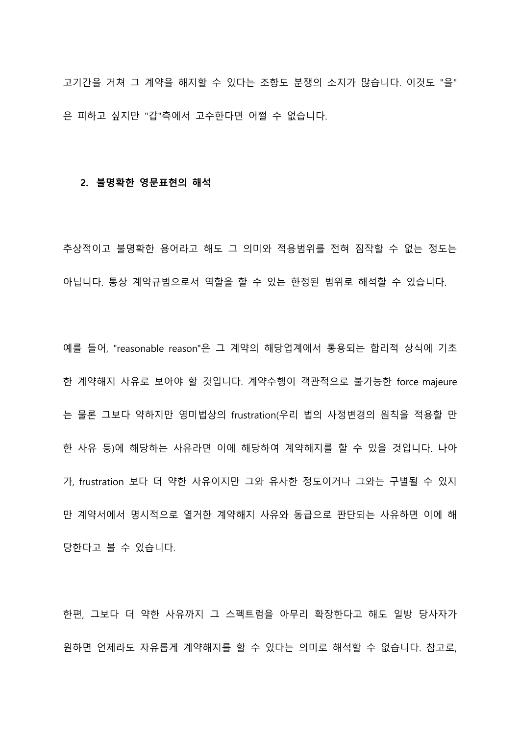고기간을 거쳐 그 계약을 해지할 수 있다는 조항도 분쟁의 소지가 많습니다. 이것도 "을" 은 피하고 싶지만 "갑"측에서 고수한다면 어쩔 수 없습니다.

#### 2. 불명확한 영문표현의 해석

추상적이고 불명확한 용어라고 해도 그 의미와 적용범위를 전혀 짐작할 수 없는 정도는 아닙니다. 통상 계약규범으로서 역할을 할 수 있는 한정된 범위로 해석할 수 있습니다.

예를 들어, "reasonable reason"은 그 계약의 해당업계에서 통용되는 합리적 상식에 기초 한 계약해지 사유로 보아야 할 것입니다. 계약수행이 객관적으로 불가능한 force majeure 는 물론 그보다 약하지만 영미법상의 frustration(우리 법의 사정변경의 원칙을 적용할 만 한 사유 등)에 해당하는 사유라면 이에 해당하여 계약해지를 할 수 있을 것입니다. 나아 가, frustration 보다 더 약한 사유이지만 그와 유사한 정도이거나 그와는 구별될 수 있지 만 계약서에서 명시적으로 열거한 계약해지 사유와 동급으로 판단되는 사유하면 이에 해 당한다고 볼 수 있습니다.

한편, 그보다 더 약한 사유까지 그 스펙트럼을 아무리 확장한다고 해도 일방 당사자가 원하면 언제라도 자유롭게 계약해지를 할 수 있다는 의미로 해석할 수 없습니다. 참고로,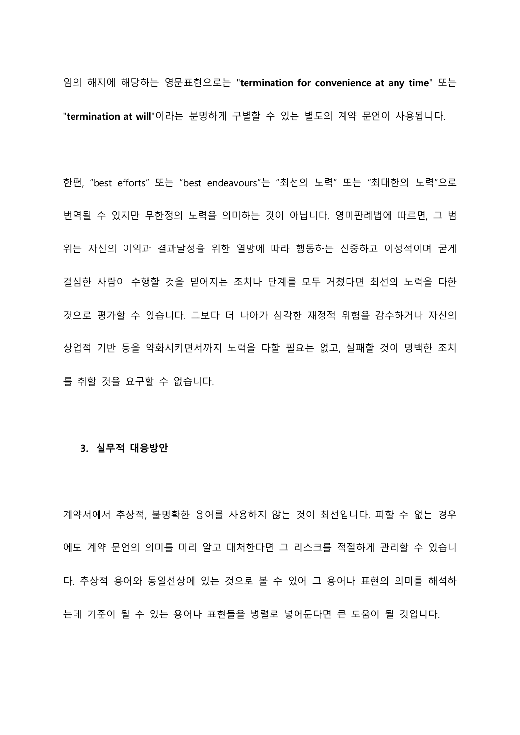임의 해지에 해당하는 영문표현으로는 "termination for convenience at any time" 또는 "termination at will"이라는 분명하게 구별할 수 있는 별도의 계약 문언이 사용됩니다.

한편, "best efforts" 또는 "best endeavours"는 "최선의 노력" 또는 "최대한의 노력"으로 번역될 수 있지만 무한정의 노력을 의미하는 것이 아닙니다. 영미판례법에 따르면, 그 범 위는 자신의 이익과 결과달성을 위한 열망에 따라 행동하는 신중하고 이성적이며 굳게 결심한 사람이 수행할 것을 믿어지는 조치나 단계를 모두 거쳤다면 최선의 노력을 다한 것으로 평가할 수 있습니다. 그보다 더 나아가 심각한 재정적 위험을 감수하거나 자신의 상업적 기반 등을 약화시키면서까지 노력을 다할 필요는 없고, 실패할 것이 명백한 조치 를 취할 것을 요구할 수 없습니다.

#### 3. 실무적 대응방안

계약서에서 추상적, 불명확한 용어를 사용하지 않는 것이 최선입니다. 피할 수 없는 경우 에도 계약 문언의 의미를 미리 알고 대처한다면 그 리스크를 적절하게 관리할 수 있습니 다. 추상적 용어와 동일선상에 있는 것으로 볼 수 있어 그 용어나 표현의 의미를 해석하 는데 기준이 될 수 있는 용어나 표현들을 병렬로 넣어둔다면 큰 도움이 될 것입니다.